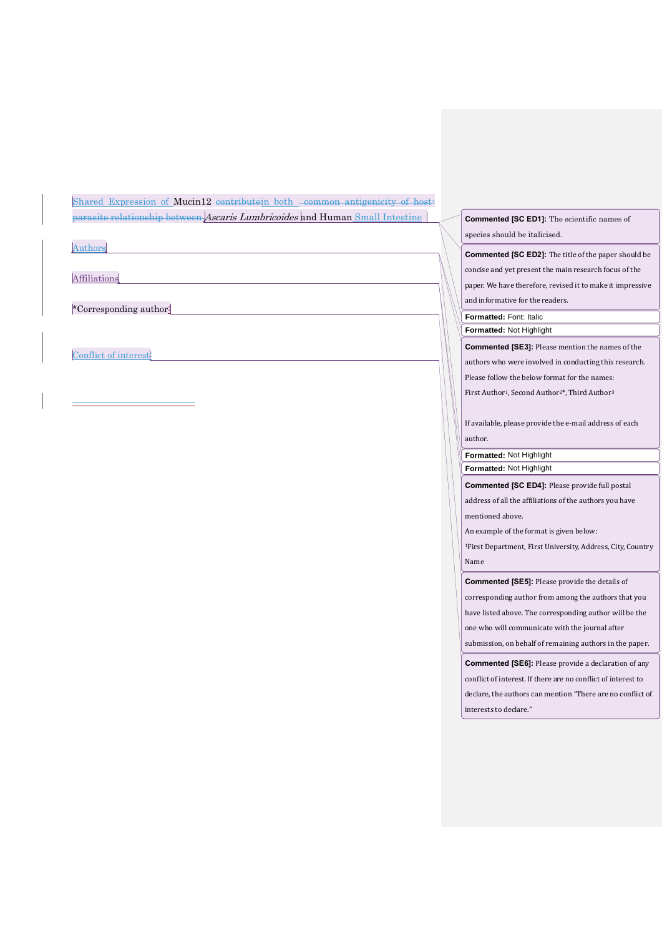Shared Expression of Mucin12 contributein both -common antigenicity of hostparasite relationship between Ascaris Lumbricoides and Human Small Intestine

 $\overline{a}$ 

**Affiliations** 

\*Corresponding author:

Conflict of interest

**Commented [SC ED1]:** The scientific names of species should be italicised.

**Commented [SC ED2]:** The title of the paper should be concise and yet present the main research focus of the paper. We have therefore, revised it to make it impressive and informative for the readers.

**Formatted:** Font: Italic **Formatted:** Not Highlight

**Commented [SE3]:** Please mention the names of the

authors who were involved in conducting this research.

Please follow the below format for the names:

First Author<sup>1</sup>, Second Author<sup>2\*</sup>, Third Author<sup>3</sup>

If available, please provide the e-mail address of each author.

**Formatted:** Not Highlight

**Formatted:** Not Highlight

**Commented [SC ED4]:** Please provide full postal

address of all the affiliations of the authors you have mentioned above.

An example of the format is given below:

<sup>1</sup>First Department, First University, Address, City, Country Name

**Commented [SE5]:** Please provide the details of

corresponding author from among the authors that you

have listed above. The corresponding author will be the

one who will communicate with the journal after

submission, on behalf of remaining authors in the paper.

**Commented [SE6]:** Please provide a declaration of any conflict of interest. If there are no conflict of interest to declare, the authors can mention "There are no conflict of interests to declare."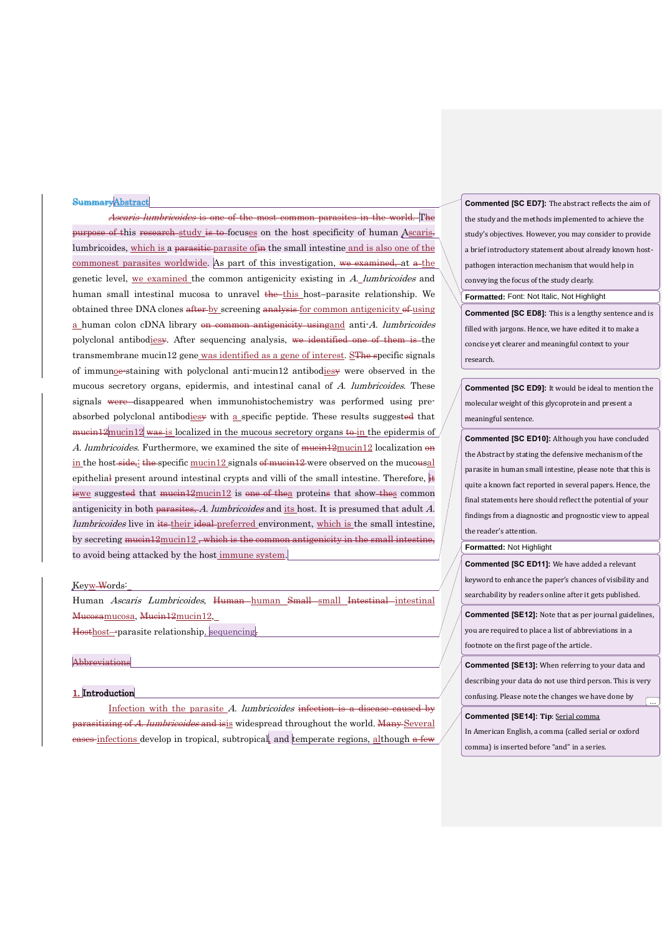#### SummaryAbstract

Ascaris lumbricoides is one of the most common parasites in the world. The purpose of this research-study is to-focuses on the host specificity of human Ascaris. lumbricoides, which is a parasitic parasite of in the small intestine and is also one of the commonest parasites worldwide. As part of this investigation, we examined, at a the genetic level, we examined the common antigenicity existing in A. lumbricoides and human small intestinal mucosa to unravel the this host–parasite relationship. We obtained three DNA clones after by screening analysis for common antigenicity of using a human colon cDNA library on common antigenicity using and anti-A. lumbricoides polyclonal antibodiesy. After sequencing analysis, we identified one of them is the transmembrane mucin12 gene was identified as a gene of interest. SThe specific signals of immunoe-staining with polyclonal anti-mucin12 antibodiesy were observed in the mucous secretory organs, epidermis, and intestinal canal of A. lumbricoides. These signals were disappeared when immunohistochemistry was performed using preabsorbed polyclonal antibodiesy with a specific peptide. These results suggested that  $mu$ in 12 mucin 12 was is localized in the mucous secretory organs to in the epidermis of A. lumbricoides. Furthermore, we examined the site of  $m$ ucin $12$  mucin $12$  localization  $\Theta$ n in the host-side, the specific mucin12 signals of mucin12 were observed on the mucousal epithelial present around intestinal crypts and villi of the small intestine. Therefore, it iswe suggested that mucin12mucin12 is one of thea proteins that show thes common antigenicity in both parasites, A. lumbricoides and its host. It is presumed that adult A. lumbricoides live in its their ideal preferred environment, which is the small intestine, by secreting  $mu$ cin $12$ <sub>mucin</sub> $12$ , which is the common antigenicity in the small intestine, to avoid being attacked by the host immune system.

#### Keyw Words:

Human Ascaris Lumbricoides, Human-human Small-small Intestinal-intestinal Mucosamucosa, Mucin12mucin12,

Hosthost--parasite relationship, sequencing,

### Abbreviations

#### 1. Introduction

Infection with the parasite A. lumbricoides infection is a disease caused by parasitizing of A. lumbricoides and isis widespread throughout the world. Many Several eases infections develop in tropical, subtropical, and temperate regions, although a few

**Commented [SC ED7]:** The abstract reflects the aim of the study and the methods implemented to achieve the study's objectives. However, you may consider to provide a brief introductory statement about already known hostpathogen interaction mechanism that would help in conveying the focus of the study clearly.

**Formatted:** Font: Not Italic, Not Highlight

**Commented [SC ED8]:** This is a lengthy sentence and is filled with jargons. Hence, we have edited it to make a concise yet clearer and meaningful context to your research.

**Commented [SC ED9]:** It would be ideal to mention the molecular weight of this glycoprotein and present a meaningful sentence.

**Commented [SC ED10]:** Although you have concluded the Abstract by stating the defensive mechanism of the parasite in human small intestine, please note that this is quite a known fact reported in several papers. Hence, the final statements here should reflect the potential of your findings from a diagnostic and prognostic view to appeal the reader's attention.

# **Formatted:** Not Highlight

**Commented [SC ED11]:** We have added a relevant keyword to enhance the paper's chances of visibility and searchability by readers online after it gets published.

**Commented [SE12]:** Note that as per journal guidelines, you are required to place a list of abbreviations in a footnote on the first page of the article.

**Commented [SE13]:** When referring to your data and describing your data do not use third person. This is very confusing. Please note the changes we have done by ...

#### **Commented [SE14]: Tip**: Serial comma

In American English, a comma (called serial or oxford comma) is inserted before "and" in a series.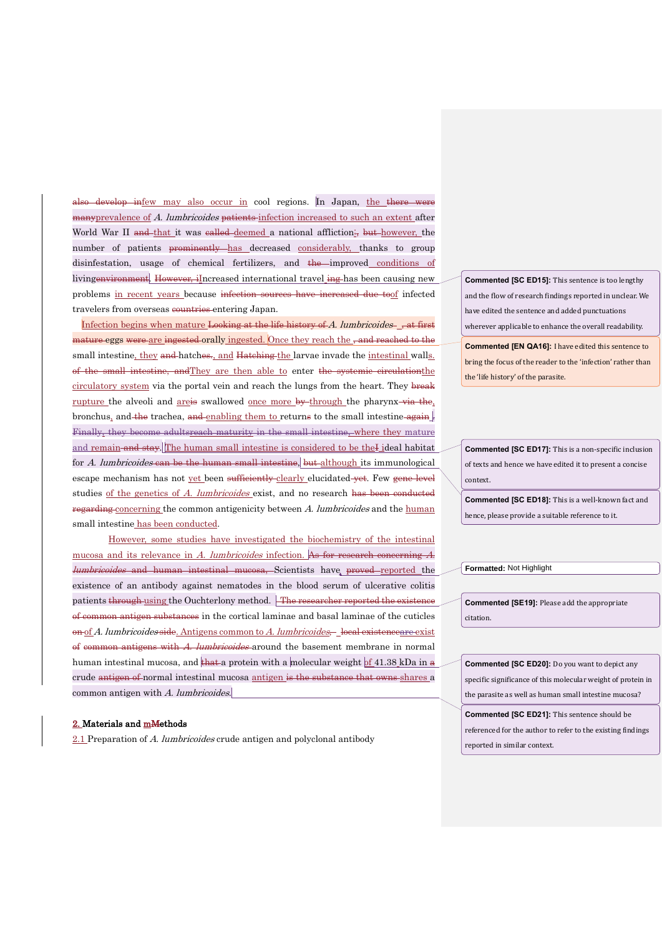also develop infew may also occur in cool regions. In Japan, the there were many prevalence of A. lumbricoides patients infection increased to such an extent after World War II and that it was ealled deemed a national affliction; but however, the number of patients prominently has decreased considerably, thanks to group disinfestation, usage of chemical fertilizers, and the improved conditions of livingenvironment. However, iIncreased international travel ing has been causing new problems in recent years because infection sources have increased due toof infected travelers from overseas countries entering Japan.

Infection begins when mature Looking at the life history of A. lumbricoides  $\frac{1}{x}$ , at first ure eggs were are ingested orally ingested. Once they reach the , and reached to the small intestine, they and hatches., and Hatching the larvae invade the intestinal walls. of the small intestine, andThey are then able to enter the systemic circulationthe circulatory system via the portal vein and reach the lungs from the heart. They break rupture the alveoli and areis swallowed once more by through the pharynx via the, bronchus, and the trachea, and enabling them to returns to the small intestine  $\frac{1}{2}$ . Finally, they become adultsreach maturity in the small intestine, where they mature and remain and stay. The human small intestine is considered to be the I ideal habitat for A. lumbricoides can be the human small intestine, but although its immunological escape mechanism has not yet been sufficiently clearly elucidated yet. Few gene level studies of the genetics of A. lumbricoides exist, and no research has been conducted regarding concerning the common antigenicity between A. lumbricoides and the human small intestine has been conducted.

However, some studies have investigated the biochemistry of the intestinal mucosa and its relevance in A. lumbricoides infection. As for research concerning A. *lumbricoides* and human intestinal mucosa, Scientists have proved reported the existence of an antibody against nematodes in the blood serum of ulcerative colitis patients through using the Ouchterlony method. The researcher reported the existence of common antigen substances in the cortical laminae and basal laminae of the cuticles on of A. lumbricoides side. Antigens common to A. lumbricoides, local existenceare exist of common antigens with A. lumbricoides around the basement membrane in normal human intestinal mucosa, and that a protein with a molecular weight of 41.38 kDa in  $\alpha$ crude antigen of normal intestinal mucosa antigen is the substance that owns shares a common antigen with A. lumbricoides.

# 2. Materials and mMethods

2.1 Preparation of A. lumbricoides crude antigen and polyclonal antibody

**Commented [SC ED15]:** This sentence is too lengthy and the flow of research findings reported in unclear. We have edited the sentence and added punctuations wherever applicable to enhance the overall readability.

**Commented [EN QA16]:** I have edited this sentence to bring the focus of the reader to the 'infection' rather than the 'life history' of the parasite.

**Commented [SC ED17]:** This is a non-specific inclusion of texts and hence we have edited it to present a concise context.

**Commented [SC ED18]:** This is a well-known fact and hence, please provide a suitable reference to it.

**Formatted:** Not Highlight

**Commented [SE19]:** Please add the appropriate citation.

**Commented [SC ED20]:** Do you want to depict any specific significance of this molecular weight of protein in the parasite as well as human small intestine mucosa?

**Commented [SC ED21]:** This sentence should be referenced for the author to refer to the existing findings reported in similar context.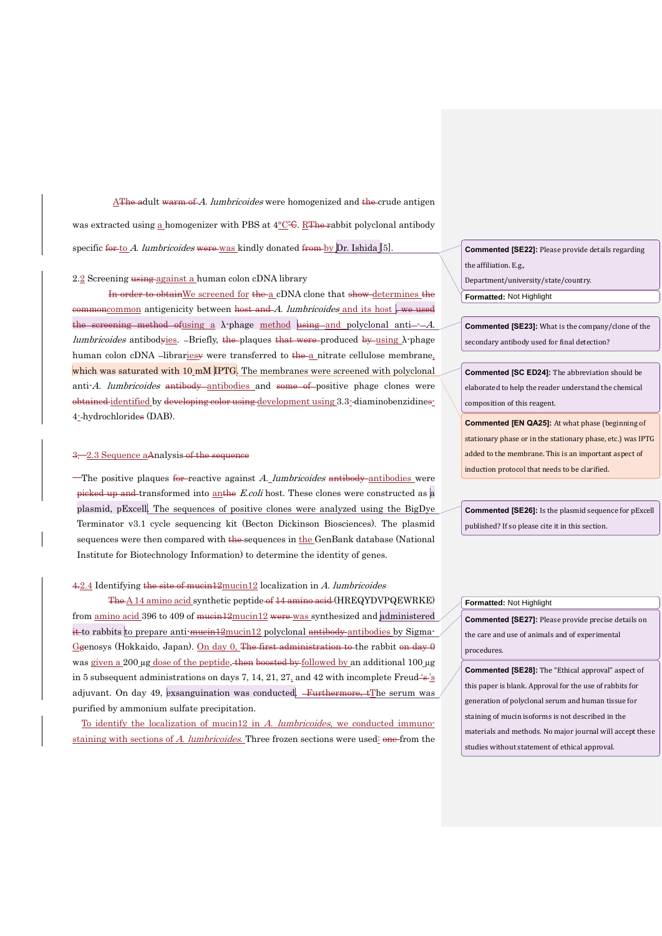AThe adult warm of A. lumbricoides were homogenized and the crude antigen was extracted using a homogenizer with PBS at 4℃℃. RThe rabbit polyclonal antibody specific for to A. lumbricoides were was kindly donated from by  $Dr.$  Ishida [5].

### 2.2 Screening using against a human colon cDNA library

In order to obtain We screened for the a cDNA clone that show-determines the commoncommon antigenicity between host and  $A$ . lumbricoides and its host, we used  $t$  sereening method of using a  $\lambda$ -phage method using and polyclonal anti---A. lumbricoides antibodyies. -Briefly, the plaques that were produced by using  $\lambda$ -phage human colon cDNA -librariesy were transferred to the a nitrate cellulose membrane, which was saturated with 10 mM IPTG. The membranes were screened with polyclonal anti-A. *lumbricoides* antibody antibodies and some of positive phage clones were obtained identified by developing color using development using 3.3- diaminobenzidines-4- hydrochlorides (DAB).

### 3. 2.3 Sequence aAnalysis of the sequence

The positive plaques for reactive against  $A$  lumbricoides antibody antibodies were picked up and transformed into anthe *E.coli* host. These clones were constructed as  $\alpha$ plasmid, pExcell. The sequences of positive clones were analyzed using the BigDye Terminator v3.1 cycle sequencing kit (Becton Dickinson Biosciences). The plasmid sequences were then compared with the sequences in the GenBank database (National Institute for Biotechnology Information) to determine the identity of genes.

# 4.2.4 Identifying the site of mucin12mucin12 localization in A. lumbricoides

The A 14 amino acid synthetic peptide of 14 amino acid (HREQYDVPQEWRKE) from amino acid 396 to 409 of mucin12mucin12 were was synthesized and administered it to rabbits to prepare anti-mucin12mucin12 polyclonal antibody antibodies by Sigma-Genosys (Hokkaido, Japan). On day 0, The first administration to the rabbit on day  $\theta$ was given a 200 µg dose of the peptide, then boosted by followed by an additional 100 µg in 5 subsequent administrations on days 7, 14, 21, 27, and 42 with incomplete Freud  $\frac{1}{8}$ adjuvant. On day 49, exsanguination was conducted. Furthermore, tThe serum was purified by ammonium sulfate precipitation.

To identify the localization of mucin12 in A. lumbricoides, we conducted immunostaining with sections of A. lumbricoides. Three frozen sections were used: one from the **Commented [SE22]:** Please provide details regarding the affiliation. E.g., Department/university/state/country.

**Formatted:** Not Highlight

**Commented [SE23]:** What is the company/clone of the secondary antibody used for final detection?

**Commented [SC ED24]:** The abbreviation should be elaborated to help the reader understand the chemical composition of this reagent.

**Commented [EN QA25]:** At what phase (beginning of stationary phase or in the stationary phase, etc.) was IPTG added to the membrane. This is an important aspect of induction protocol that needs to be clarified.

**Commented [SE26]:** Is the plasmid sequence for pExcell published? If so please cite it in this section.

### **Formatted:** Not Highlight

**Commented [SE27]:** Please provide precise details on the care and use of animals and of experimental procedures.

**Commented [SE28]:** The "Ethical approval" aspect of this paper is blank. Approval for the use of rabbits for generation of polyclonal serum and human tissue for staining of mucin isoforms is not described in the materials and methods. No major journal will accept these studies without statement of ethical approval.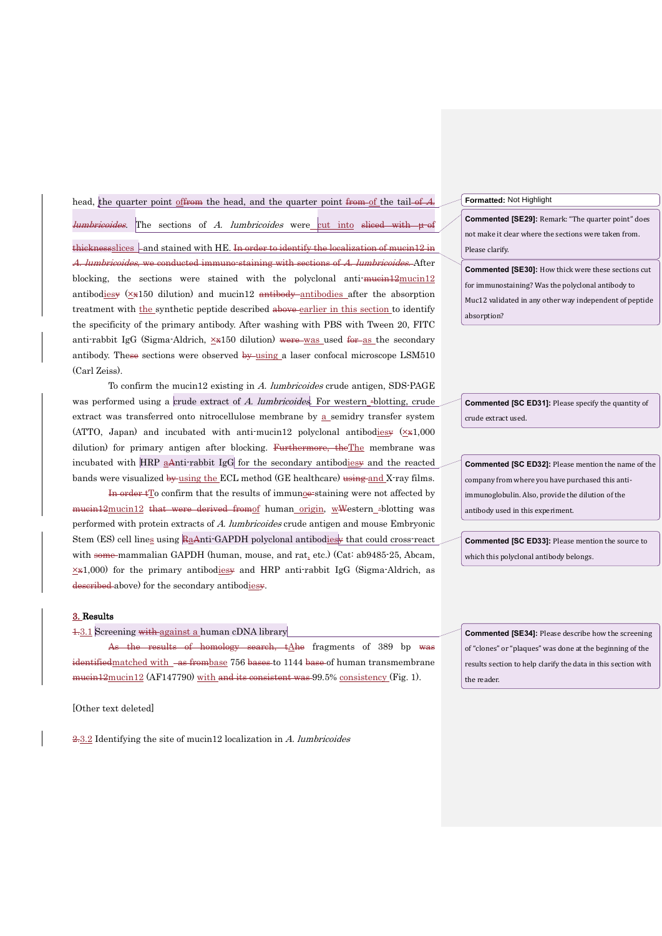head, the quarter point of from the head, and the quarter point from of the tail of  $A$ . *lumbricoides*. The sections of *A. lumbricoides* were cut into sliced with μ of thicknessslices  $-$  and stained with HE. In order to identify the localization of mucin12 in A. *lumbricoides*, we conducted immuno-staining with sections of A. *lumbricoides*. After blocking, the sections were stained with the polyclonal anti- $\frac{m}{\text{mean12}}$ antibodiesy  $(\times \times 150)$  dilution) and mucin12 antibody antibodies after the absorption treatment with the synthetic peptide described above earlier in this section to identify the specificity of the primary antibody. After washing with PBS with Tween 20, FITC anti-rabbit IgG (Sigma-Aldrich,  $\times$ x150 dilution) were was used for as the secondary antibody. These sections were observed by using a laser confocal microscope LSM510 (Carl Zeiss).

To confirm the mucin12 existing in A. lumbricoides crude antigen, SDS-PAGE was performed using a crude extract of A. lumbricoides. For western -blotting, crude extract was transferred onto nitrocellulose membrane by a semidry transfer system (ATTO, Japan) and incubated with anti-mucin12 polyclonal antibodiesy  $(\times\#1,000)$ dilution) for primary antigen after blocking. Furthermore, the The membrane was incubated with HRP aAnti-rabbit IgG for the secondary antibodiesy and the reacted bands were visualized by using the ECL method (GE healthcare) using and X-ray films.

In order  $tT_0$  confirm that the results of immunoe-staining were not affected by mucin12mucin12 that were derived fromof human origin, wWestern -blotting was performed with protein extracts of A. lumbricoides crude antigen and mouse Embryonic Stem (ES) cell lines using RaAnti-GAPDH polyclonal antibodiesy that could cross-react with some-mammalian GAPDH (human, mouse, and rat, etc.) (Cat: ab9485-25, Abcam,  $\times$ x1,000) for the primary antibodiesy and HRP anti-rabbit IgG (Sigma-Aldrich, as described above) for the secondary antibodiesy.

#### 3. Results

1.3.1 Screening with against a human cDNA library

As the results of homology search,  $\frac{1}{A}$ he fragments of 389 bp was identifiedmatched with -as frombase 756 bases to 1144 base of human transmembrane mucin12mucin12 (AF147790) with and its consistent was 99.5% consistency (Fig. 1).

[Other text deleted]

2.3.2 Identifying the site of mucin12 localization in A. lumbricoides

### **Formatted:** Not Highlight

**Commented [SE29]:** Remark: "The quarter point" does not make it clear where the sections were taken from. Please clarify.

**Commented [SE30]:** How thick were these sections cut for immunostaining? Was the polyclonal antibody to Muc12 validated in any other way independent of peptide absorption?

**Commented [SC ED31]:** Please specify the quantity of crude extract used.

**Commented [SC ED32]:** Please mention the name of the company from where you have purchased this antiimmunoglobulin. Also, provide the dilution of the antibody used in this experiment.

**Commented [SC ED33]:** Please mention the source to which this polyclonal antibody belongs.

**Commented [SE34]:** Please describe how the screening of "clones" or "plaques" was done at the beginning of the results section to help clarify the data in this section with the reader.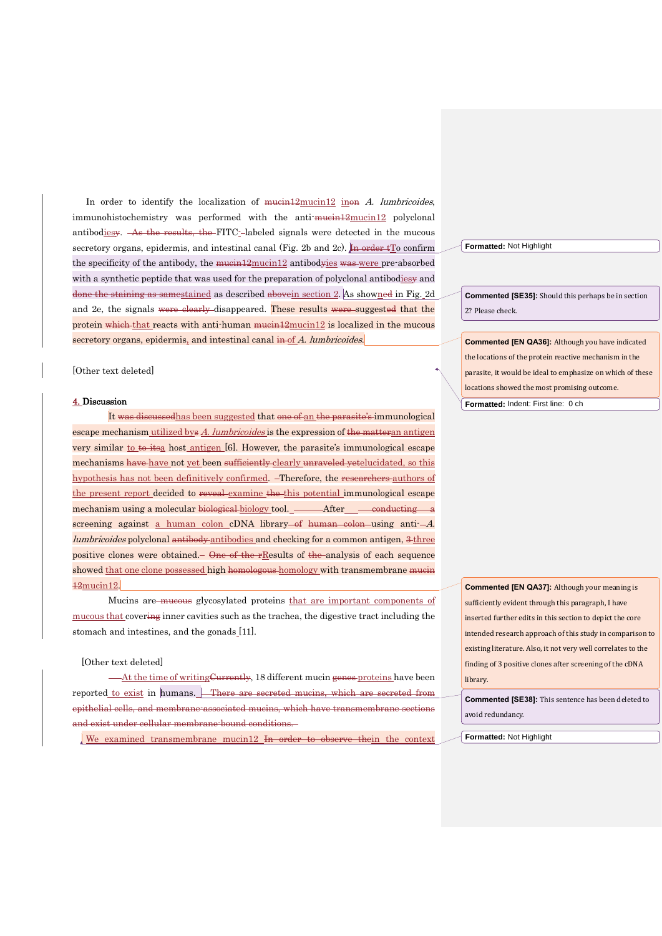In order to identify the localization of  $m$ uein $12m$ ucin $12$  inon A. lumbricoides,  $immunohistochemistry was performed with the anti-muein12mucin12 polyclonal$ antibodiesy. As the results, the FITC-labeled signals were detected in the mucous secretory organs, epidermis, and intestinal canal (Fig. 2b and 2c). In order  $tT_0$  confirm the specificity of the antibody, the mucin12mucin12 antibodyies was were pre-absorbed with a synthetic peptide that was used for the preparation of polyclonal antibodies  $\ast$  and done the staining as samestained as described abovein section 2. As showned in Fig. 2d and 2e, the signals were clearly disappeared. These results were suggested that the protein which that reacts with anti-human  $m$ ucin $12$  is localized in the mucous secretory organs, epidermis, and intestinal canal in of A. lumbricoides.

#### [Other text deleted]

#### 4. Discussion

It was discussedhas been suggested that one of an the parasite's immunological escape mechanism utilized bys A. lumbricoides is the expression of the matteran antigen very similar to to itse host antigen  $[6]$ . However, the parasite's immunological escape mechanisms have have not yet been sufficiently clearly unraveled yetelucidated, so this hypothesis has not been definitively confirmed. Therefore, the researchers authors of the present report decided to reveal examine the this potential immunological escape mechanism using a molecular biological biology tool. After conducting a screening against a human colon cDNA library—of human colon—using anti- $-A$ . lumbricoides polyclonal antibody antibodies and checking for a common antigen,  $3$  three positive clones were obtained. One of the rResults of the analysis of each sequence showed that one clone possessed high homologous homology with transmembrane mucin 12mucin12.

Mucins are mucous glycosylated proteins that are important components of mucous that covering inner cavities such as the trachea, the digestive tract including the stomach and intestines, and the gonads [11].

# [Other text deleted]

At the time of writing Currently, 18 different mucin genes proteins have been reported to exist in humans. There are secreted mucins, which are secreted from epithelial cells, and membrane-associated mucins, which have transmembrane sections and exist under cellular membrane-bound conditions.

We examined transmembrane mucin12 In order to observe thein the context

**Formatted:** Not Highlight

**Commented [SE35]:** Should this perhaps be in section 2? Please check.

**Commented [EN QA36]:** Although you have indicated the locations of the protein reactive mechanism in the parasite, it would be ideal to emphasize on which of these locations showed the most promising outcome.

**Formatted:** Indent: First line: 0 ch

**Commented [EN QA37]:** Although your meaning is sufficiently evident through this paragraph, I have inserted further edits in this section to depict the core intended research approach of this study in comparison to existing literature. Also, it not very well correlates to the finding of 3 positive clones after screening of the cDNA library.

**Commented [SE38]:** This sentence has been deleted to avoid redundancy.

**Formatted:** Not Highlight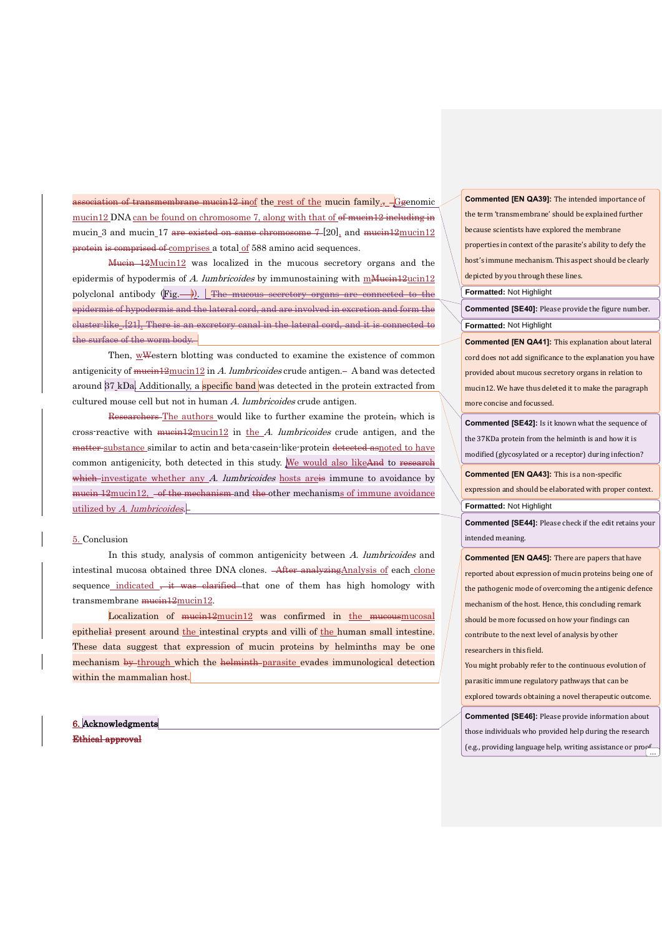eiation of transmembrane mucin12 inof the rest of the mucin family.,  $-\text{G}$ genomic mucin12 DNA can be found on chromosome 7, along with that of of mucin12 including in mucin 3 and mucin 17 are existed on same chromosome  $7-[20]$ , and mucin $12$ mucin $12$ protein is comprised of comprises a total of 588 amino acid sequences.

Mucin 12Mucin12 was localized in the mucous secretory organs and the epidermis of hypodermis of A. lumbricoides by immunostaining with m $\frac{M_{\text{He}}}{M_{\text{He}}}$ ucin12 polyclonal antibody  $(Fig, \rightarrow)$ . The mucous secretory organs are connected to the epidermis of hypodermis and the lateral cord, and are involved in excretion and form the cluster-like .[21]. There is an excretory canal in the lateral cord, and it is connected to the surface of the worm body.

Then, wWestern blotting was conducted to examine the existence of common antigenicity of  $m$ ucin $12$  in A. lumbricoides crude antigen.  $-$  A band was detected around  $37$  kDa. Additionally, a specific band was detected in the protein extracted from cultured mouse cell but not in human A. lumbricoides crude antigen.

Researchers-The authors would like to further examine the protein, which is cross-reactive with  $m$ uein $12$ mucin $12$  in the A. lumbricoides crude antigen, and the matter substance similar to actin and beta-casein-like-protein detected asnoted to have common antigenicity, both detected in this study. We would also likeAnd to research which investigate whether any  $A$ . lumbricoides hosts are is immune to avoidance by mucin 12mucin12,  $-$ of the mechanism and the other mechanisms of immune avoidance utilized by A. lumbricoides.

# 5. Conclusion

In this study, analysis of common antigenicity between A. lumbricoides and intestinal mucosa obtained three DNA clones. After analyzingAnalysis of each clone sequence indicated  $\frac{1}{2}$  it was clarified that one of them has high homology with transmembrane mucin12mucin12.

Localization of  $mu$ cin $12$  was confirmed in the mucousmucosal epithelial present around the intestinal crypts and villi of the human small intestine. These data suggest that expression of mucin proteins by helminths may be one mechanism by through which the helminth parasite evades immunological detection within the mammalian host.

6. Acknowledgments Ethical approval

**Commented [EN QA39]:** The intended importance of the term 'transmembrane' should be explained further because scientists have explored the membrane properties in context of the parasite's ability to defy the host's immune mechanism. This aspect should be clearly depicted by you through these lines.

**Formatted:** Not Highlight

**Formatted:** Not Highlight **Commented [SE40]:** Please provide the figure number.

**Commented [EN QA41]:** This explanation about lateral cord does not add significance to the explanation you have provided about mucous secretory organs in relation to mucin12. We have thus deleted it to make the paragraph more concise and focussed.

**Commented [SE42]:** Is it known what the sequence of the 37KDa protein from the helminth is and how it is modified (glycosylated or a receptor) during infection?

**Commented [EN QA43]:** This is a non-specific

expression and should be elaborated with proper context. **Formatted:** Not Highlight

**Commented [SE44]:** Please check if the edit retains your intended meaning.

**Commented [EN QA45]:** There are papers that have reported about expression of mucin proteins being one of the pathogenic mode of overcoming the antigenic defence mechanism of the host. Hence, this concluding remark should be more focussed on how your findings can contribute to the next level of analysis by other researchers in this field.

You might probably refer to the continuous evolution of parasitic immune regulatory pathways that can be explored towards obtaining a novel therapeutic outcome.

**Commented [SE46]:** Please provide information about those individuals who provided help during the research (e.g., providing language help, writing assistance or prop-...